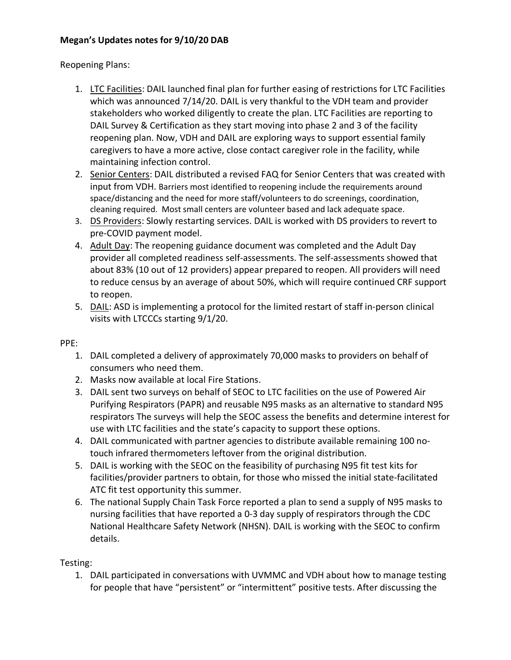## **Megan's Updates notes for 9/10/20 DAB**

## Reopening Plans:

- 1. LTC Facilities: DAIL launched final plan for further easing of restrictions for LTC Facilities which was announced 7/14/20. DAIL is very thankful to the VDH team and provider stakeholders who worked diligently to create the plan. LTC Facilities are reporting to DAIL Survey & Certification as they start moving into phase 2 and 3 of the facility reopening plan. Now, VDH and DAIL are exploring ways to support essential family caregivers to have a more active, close contact caregiver role in the facility, while maintaining infection control.
- 2. Senior Centers: DAIL distributed a revised FAQ for Senior Centers that was created with input from VDH. Barriers most identified to reopening include the requirements around space/distancing and the need for more staff/volunteers to do screenings, coordination, cleaning required. Most small centers are volunteer based and lack adequate space.
- 3. DS Providers: Slowly restarting services. DAIL is worked with DS providers to revert to pre-COVID payment model.
- 4. Adult Day: The reopening guidance document was completed and the Adult Day provider all completed readiness self-assessments. The self-assessments showed that about 83% (10 out of 12 providers) appear prepared to reopen. All providers will need to reduce census by an average of about 50%, which will require continued CRF support to reopen.
- 5. DAIL: ASD is implementing a protocol for the limited restart of staff in-person clinical visits with LTCCCs starting 9/1/20.

## PPE:

- 1. DAIL completed a delivery of approximately 70,000 masks to providers on behalf of consumers who need them.
- 2. Masks now available at local Fire Stations.
- 3. DAIL sent two surveys on behalf of SEOC to LTC facilities on the use of Powered Air Purifying Respirators (PAPR) and reusable N95 masks as an alternative to standard N95 respirators The surveys will help the SEOC assess the benefits and determine interest for use with LTC facilities and the state's capacity to support these options.
- 4. DAIL communicated with partner agencies to distribute available remaining 100 notouch infrared thermometers leftover from the original distribution.
- 5. DAIL is working with the SEOC on the feasibility of purchasing N95 fit test kits for facilities/provider partners to obtain, for those who missed the initial state-facilitated ATC fit test opportunity this summer.
- 6. The national Supply Chain Task Force reported a plan to send a supply of N95 masks to nursing facilities that have reported a 0-3 day supply of respirators through the CDC National Healthcare Safety Network (NHSN). DAIL is working with the SEOC to confirm details.

## Testing:

1. DAIL participated in conversations with UVMMC and VDH about how to manage testing for people that have "persistent" or "intermittent" positive tests. After discussing the